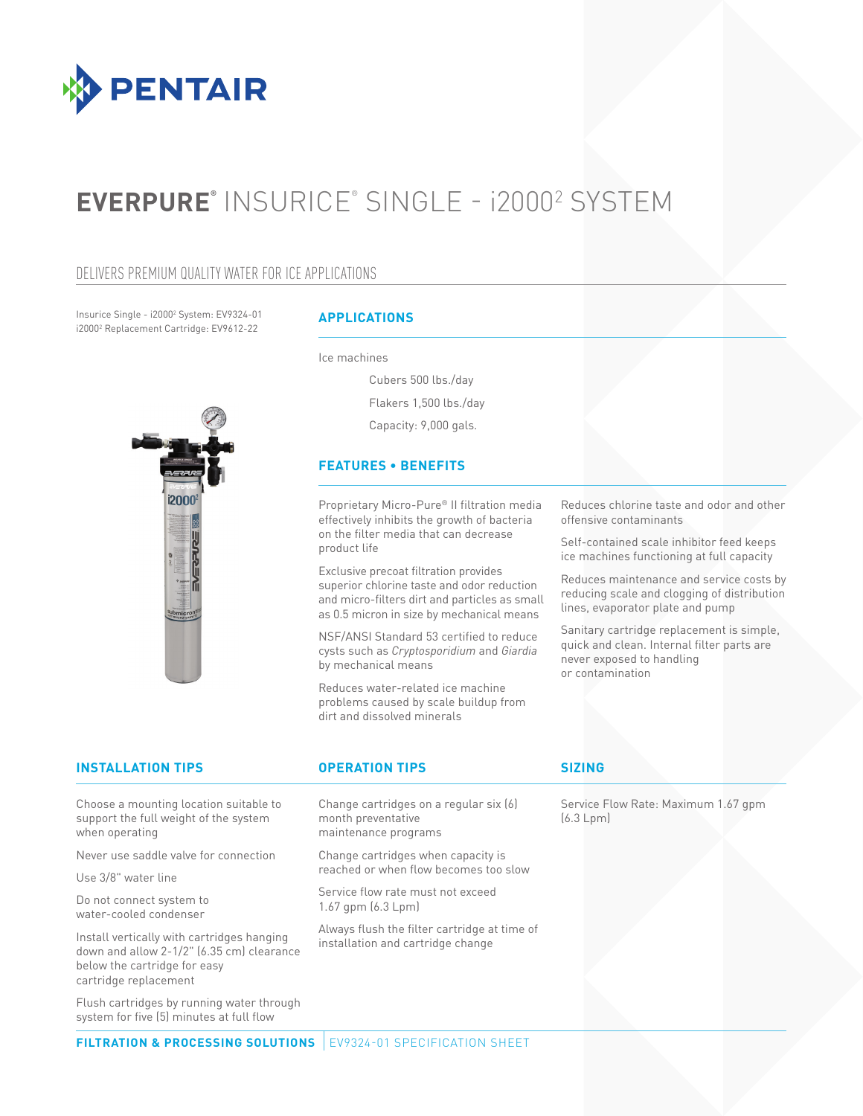

# **EVERPURE®** INSURICE® SINGLE - i20002 SYSTEM

#### DELIVERS PREMIUM QUALITY WATER FOR ICE APPLICATIONS

Insurice Single - i20002 System: EV9324-01 i20002 Replacement Cartridge: EV9612-22



#### **APPLICATIONS**

Ice machines

Cubers 500 lbs./day Flakers 1,500 lbs./day Capacity: 9,000 gals.

#### **FEATURES • BENEFITS**

Proprietary Micro-Pure® II filtration media effectively inhibits the growth of bacteria on the filter media that can decrease product life

Exclusive precoat filtration provides superior chlorine taste and odor reduction and micro-filters dirt and particles as small as 0.5 micron in size by mechanical means

NSF/ANSI Standard 53 certified to reduce cysts such as *Cryptosporidium* and *Giardia* by mechanical means

Reduces water-related ice machine problems caused by scale buildup from dirt and dissolved minerals

Reduces chlorine taste and odor and other offensive contaminants

Self-contained scale inhibitor feed keeps ice machines functioning at full capacity

Reduces maintenance and service costs by reducing scale and clogging of distribution lines, evaporator plate and pump

Sanitary cartridge replacement is simple, quick and clean. Internal filter parts are never exposed to handling or contamination

### **INSTALLATION TIPS OPERATION TIPS**

Choose a mounting location suitable to support the full weight of the system when operating

Never use saddle valve for connection

Use 3/8" water line

Do not connect system to water-cooled condenser

Install vertically with cartridges hanging down and allow 2-1/2" (6.35 cm) clearance below the cartridge for easy cartridge replacement

Flush cartridges by running water through system for five (5) minutes at full flow

Change cartridges on a regular six (6) month preventative maintenance programs

Change cartridges when capacity is reached or when flow becomes too slow

Service flow rate must not exceed 1.67 gpm (6.3 Lpm)

Always flush the filter cartridge at time of installation and cartridge change

#### **SIZING**

Service Flow Rate: Maximum 1.67 gpm (6.3 Lpm)